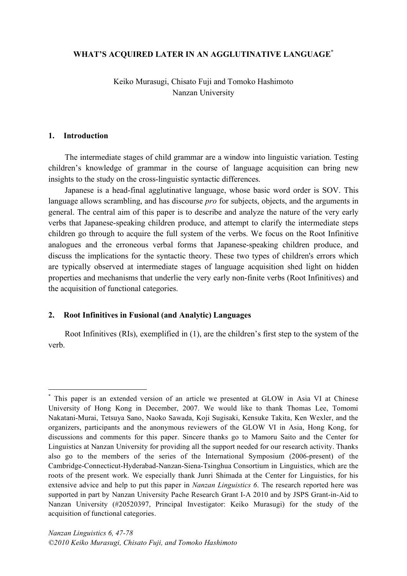### **WHAT'S ACQUIRED LATER IN AN AGGLUTINATIVE LANGUAGE\***

Keiko Murasugi, Chisato Fuji and Tomoko Hashimoto Nanzan University

#### **1. Introduction**

The intermediate stages of child grammar are a window into linguistic variation. Testing children's knowledge of grammar in the course of language acquisition can bring new insights to the study on the cross-linguistic syntactic differences.

Japanese is a head-final agglutinative language, whose basic word order is SOV. This language allows scrambling, and has discourse *pro* for subjects, objects, and the arguments in general. The central aim of this paper is to describe and analyze the nature of the very early verbs that Japanese-speaking children produce, and attempt to clarify the intermediate steps children go through to acquire the full system of the verbs. We focus on the Root Infinitive analogues and the erroneous verbal forms that Japanese-speaking children produce, and discuss the implications for the syntactic theory. These two types of children's errors which are typically observed at intermediate stages of language acquisition shed light on hidden properties and mechanisms that underlie the very early non-finite verbs (Root Infinitives) and the acquisition of functional categories.

#### **2. Root Infinitives in Fusional (and Analytic) Languages**

Root Infinitives (RIs), exemplified in (1), are the children's first step to the system of the verb.

 <sup>\*</sup> This paper is an extended version of an article we presented at GLOW in Asia VI at Chinese University of Hong Kong in December, 2007. We would like to thank Thomas Lee, Tomomi Nakatani-Murai, Tetsuya Sano, Naoko Sawada, Koji Sugisaki, Kensuke Takita, Ken Wexler, and the organizers, participants and the anonymous reviewers of the GLOW VI in Asia, Hong Kong, for discussions and comments for this paper. Sincere thanks go to Mamoru Saito and the Center for Linguistics at Nanzan University for providing all the support needed for our research activity. Thanks also go to the members of the series of the International Symposium (2006-present) of the Cambridge-Connecticut-Hyderabad-Nanzan-Siena-Tsinghua Consortium in Linguistics, which are the roots of the present work. We especially thank Junri Shimada at the Center for Linguistics, for his extensive advice and help to put this paper in *Nanzan Linguistics 6*. The research reported here was supported in part by Nanzan University Pache Research Grant I-A 2010 and by JSPS Grant-in-Aid to Nanzan University (#20520397, Principal Investigator: Keiko Murasugi) for the study of the acquisition of functional categories.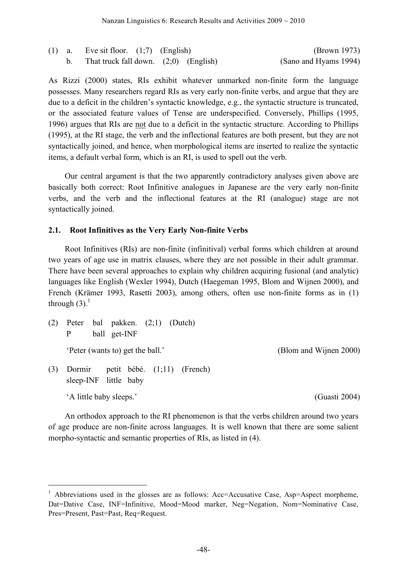|  | (1) a. Eve sit floor. $(1,7)$ (English) | (Brown 1973)          |
|--|-----------------------------------------|-----------------------|
|  | That truck fall down. $(2,0)$ (English) | (Sano and Hyams 1994) |

As Rizzi (2000) states, RIs exhibit whatever unmarked non-finite form the language possesses. Many researchers regard RIs as very early non-finite verbs, and argue that they are due to a deficit in the children's syntactic knowledge, e.g., the syntactic structure is truncated, or the associated feature values of Tense are underspecified. Conversely, Phillips (1995, 1996) argues that RIs are not due to a deficit in the syntactic structure. According to Phillips (1995), at the RI stage, the verb and the inflectional features are both present, but they are not syntactically joined, and hence, when morphological items are inserted to realize the syntactic items, a default verbal form, which is an RI, is used to spell out the verb.

Our central argument is that the two apparently contradictory analyses given above are basically both correct: Root Infinitive analogues in Japanese are the very early non-finite verbs, and the verb and the inflectional features at the RI (analogue) stage are not syntactically joined.

### **2.1. Root Infinitives as the Very Early Non-finite Verbs**

Root Infinitives (RIs) are non-finite (infinitival) verbal forms which children at around two years of age use in matrix clauses, where they are not possible in their adult grammar. There have been several approaches to explain why children acquiring fusional (and analytic) languages like English (Wexler 1994), Dutch (Haegeman 1995, Blom and Wijnen 2000), and French (Krämer 1993, Rasetti 2003), among others, often use non-finite forms as in (1) through  $(3)$ .<sup>1</sup>

| (2) | Peter bal pakken. $(2,1)$ (Dutch)<br>ball get-INF<br>P           |                        |
|-----|------------------------------------------------------------------|------------------------|
|     | 'Peter (wants to) get the ball.'                                 | (Blom and Wijnen 2000) |
| (3) | petit bébé. $(1,11)$ (French)<br>Dormir<br>sleep-INF little baby |                        |
|     | 'A little baby sleeps.'                                          | (Guasti 2004)          |

An orthodox approach to the RI phenomenon is that the verbs children around two years of age produce are non-finite across languages. It is well known that there are some salient morpho-syntactic and semantic properties of RIs, as listed in (4).

<sup>&</sup>lt;sup>1</sup> Abbreviations used in the glosses are as follows: Acc=Accusative Case, Asp=Aspect morpheme, Dat=Dative Case, INF=Infinitive, Mood=Mood marker, Neg=Negation, Nom=Nominative Case, Pres=Present, Past=Past, Req=Request.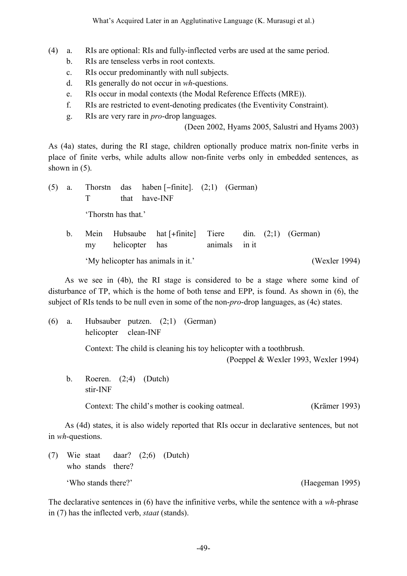- (4) a. RIs are optional: RIs and fully-inflected verbs are used at the same period.
	- b. RIs are tenseless verbs in root contexts.
	- c. RIs occur predominantly with null subjects.
	- d. RIs generally do not occur in *wh*-questions.
	- e. RIs occur in modal contexts (the Modal Reference Effects (MRE)).
	- f. RIs are restricted to event-denoting predicates (the Eventivity Constraint).
	- g. RIs are very rare in *pro*-drop languages.

(Deen 2002, Hyams 2005, Salustri and Hyams 2003)

As (4a) states, during the RI stage, children optionally produce matrix non-finite verbs in place of finite verbs, while adults allow non-finite verbs only in embedded sentences, as shown in  $(5)$ .

(5) a. Thorstn das haben [−finite]. (2;1) (German) T that have-INF 'Thorstn has that.' b. Mein Hubsaube hat [+finite] Tiere din. (2;1) (German) my helicopter has animals in it

'My helicopter has animals in it.' (Wexler 1994)

As we see in (4b), the RI stage is considered to be a stage where some kind of disturbance of TP, which is the home of both tense and EPP, is found. As shown in (6), the subject of RIs tends to be null even in some of the non-*pro*-drop languages, as (4c) states.

(6) a. Hubsauber putzen. (2;1) (German) helicopter clean-INF

Context: The child is cleaning his toy helicopter with a toothbrush.

(Poeppel & Wexler 1993, Wexler 1994)

b. Roeren. (2;4) (Dutch) stir-INF

Context: The child's mother is cooking oatmeal. (Krämer 1993)

As (4d) states, it is also widely reported that RIs occur in declarative sentences, but not in *wh*-questions.

(7) Wie staat daar? (2;6) (Dutch) who stands there? 'Who stands there?' (Haegeman 1995)

The declarative sentences in (6) have the infinitive verbs, while the sentence with a *wh*-phrase in (7) has the inflected verb, *staat* (stands).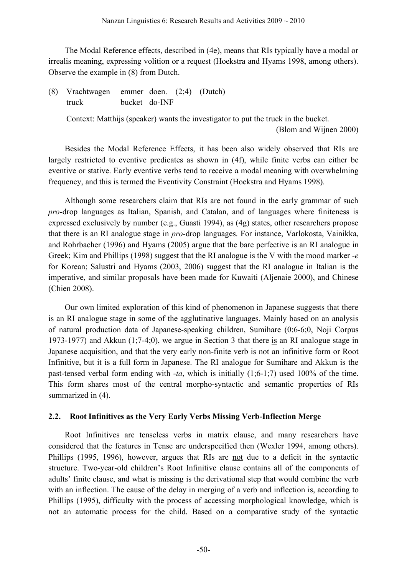The Modal Reference effects, described in (4e), means that RIs typically have a modal or irrealis meaning, expressing volition or a request (Hoekstra and Hyams 1998, among others). Observe the example in (8) from Dutch.

(8) Vrachtwagen emmer doen. (2;4) (Dutch) truck bucket do-INF

> Context: Matthijs (speaker) wants the investigator to put the truck in the bucket. (Blom and Wijnen 2000)

Besides the Modal Reference Effects, it has been also widely observed that RIs are largely restricted to eventive predicates as shown in (4f), while finite verbs can either be eventive or stative. Early eventive verbs tend to receive a modal meaning with overwhelming frequency, and this is termed the Eventivity Constraint (Hoekstra and Hyams 1998).

Although some researchers claim that RIs are not found in the early grammar of such *pro*-drop languages as Italian, Spanish, and Catalan, and of languages where finiteness is expressed exclusively by number (e.g., Guasti 1994), as (4g) states, other researchers propose that there is an RI analogue stage in *pro*-drop languages. For instance, Varlokosta, Vainikka, and Rohrbacher (1996) and Hyams (2005) argue that the bare perfective is an RI analogue in Greek; Kim and Phillips (1998) suggest that the RI analogue is the V with the mood marker -*e* for Korean; Salustri and Hyams (2003, 2006) suggest that the RI analogue in Italian is the imperative, and similar proposals have been made for Kuwaiti (Aljenaie 2000), and Chinese (Chien 2008).

Our own limited exploration of this kind of phenomenon in Japanese suggests that there is an RI analogue stage in some of the agglutinative languages. Mainly based on an analysis of natural production data of Japanese-speaking children, Sumihare (0;6-6;0, Noji Corpus 1973-1977) and Akkun (1;7-4;0), we argue in Section 3 that there is an RI analogue stage in Japanese acquisition, and that the very early non-finite verb is not an infinitive form or Root Infinitive, but it is a full form in Japanese. The RI analogue for Sumihare and Akkun is the past-tensed verbal form ending with -*ta*, which is initially (1;6-1;7) used 100% of the time. This form shares most of the central morpho-syntactic and semantic properties of RIs summarized in (4).

# **2.2. Root Infinitives as the Very Early Verbs Missing Verb-Inflection Merge**

Root Infinitives are tenseless verbs in matrix clause, and many researchers have considered that the features in Tense are underspecified then (Wexler 1994, among others). Phillips (1995, 1996), however, argues that RIs are not due to a deficit in the syntactic structure. Two-year-old children's Root Infinitive clause contains all of the components of adults' finite clause, and what is missing is the derivational step that would combine the verb with an inflection. The cause of the delay in merging of a verb and inflection is, according to Phillips (1995), difficulty with the process of accessing morphological knowledge, which is not an automatic process for the child. Based on a comparative study of the syntactic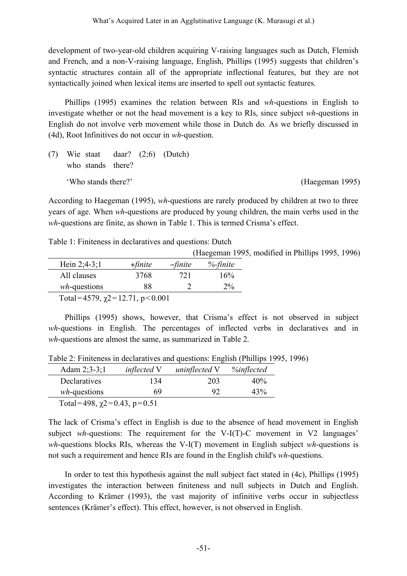development of two-year-old children acquiring V-raising languages such as Dutch, Flemish and French, and a non-V-raising language, English, Phillips (1995) suggests that children's syntactic structures contain all of the appropriate inflectional features, but they are not syntactically joined when lexical items are inserted to spell out syntactic features.

Phillips (1995) examines the relation between RIs and *wh*-questions in English to investigate whether or not the head movement is a key to RIs, since subject *wh*-questions in English do not involve verb movement while those in Dutch do. As we briefly discussed in (4d), Root Infinitives do not occur in *wh*-question.

(7) Wie staat daar? (2;6) (Dutch) who stands there? 'Who stands there?' (Haegeman 1995)

According to Haegeman (1995), *wh*-questions are rarely produced by children at two to three years of age. When *wh*-questions are produced by young children, the main verbs used in the *wh*-questions are finite, as shown in Table 1. This is termed Crisma's effect.

Table 1: Finiteness in declaratives and questions: Dutch

(Haegeman 1995, modified in Phillips 1995, 1996)

| Hein $2:4-3:1$                                  | $+$ finite | $-finite$ | $%$ -finite |
|-------------------------------------------------|------------|-----------|-------------|
| All clauses                                     | 3768       | 721       | 16%         |
| $wh$ -questions                                 | 88         |           | $2\%$       |
| $T_{\alpha 1}$ -1570 $\omega$ -1271 $n < 0.001$ |            |           |             |

Total=4579,  $\chi$ 2=12.71, p<0.001

Phillips (1995) shows, however, that Crisma's effect is not observed in subject *wh*-questions in English. The percentages of inflected verbs in declaratives and in *wh*-questions are almost the same, as summarized in Table 2.

Table 2: Finiteness in declaratives and questions: English (Phillips 1995, 1996)

| Adam $2:3-3:1$                   | <i>inflected</i> V | uninflected V | %inflected |  |  |  |
|----------------------------------|--------------------|---------------|------------|--|--|--|
| Declaratives                     | 134                | 203           | 40%        |  |  |  |
| $wh$ -questions                  | 69                 | 92            | 43%        |  |  |  |
| Total=498, $\chi$ 2=0.43, p=0.51 |                    |               |            |  |  |  |

The lack of Crisma's effect in English is due to the absence of head movement in English subject *wh*-questions: The requirement for the V-I(T)-C movement in V2 languages' *wh*-questions blocks RIs, whereas the V-I(T) movement in English subject *wh*-questions is not such a requirement and hence RIs are found in the English child's *wh*-questions.

In order to test this hypothesis against the null subject fact stated in (4c), Phillips (1995) investigates the interaction between finiteness and null subjects in Dutch and English. According to Krämer (1993), the vast majority of infinitive verbs occur in subjectless sentences (Krämer's effect). This effect, however, is not observed in English.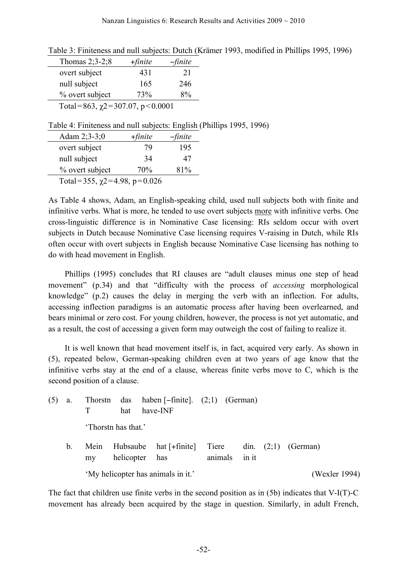| Thomas $2;3-2;8$                     | $+$ finite | $-finite$ |
|--------------------------------------|------------|-----------|
| overt subject                        | 431        | 21        |
| null subject                         | 165        | 246       |
| % overt subject                      | 73%        | 8%        |
| Total=863, $\chi$ 2=307.07, p<0.0001 |            |           |

Table 4: Finiteness and null subjects: English (Phillips 1995, 1996)

| Adam $2;3-3;0$                    | $+$ finite | $-finite$ |
|-----------------------------------|------------|-----------|
| overt subject                     | 79         | 195       |
| null subject                      | 34         | 47        |
| % overt subject                   | 70%        | 81%       |
| Total=355, $\chi$ 2=4.98, p=0.026 |            |           |

As Table 4 shows, Adam, an English-speaking child, used null subjects both with finite and infinitive verbs. What is more, he tended to use overt subjects more with infinitive verbs. One cross-linguistic difference is in Nominative Case licensing: RIs seldom occur with overt subjects in Dutch because Nominative Case licensing requires V-raising in Dutch, while RIs often occur with overt subjects in English because Nominative Case licensing has nothing to do with head movement in English.

Phillips (1995) concludes that RI clauses are "adult clauses minus one step of head movement" (p.34) and that "difficulty with the process of *accessing* morphological knowledge" (p.2) causes the delay in merging the verb with an inflection. For adults, accessing inflection paradigms is an automatic process after having been overlearned, and bears minimal or zero cost. For young children, however, the process is not yet automatic, and as a result, the cost of accessing a given form may outweigh the cost of failing to realize it.

It is well known that head movement itself is, in fact, acquired very early. As shown in (5), repeated below, German-speaking children even at two years of age know that the infinitive verbs stay at the end of a clause, whereas finite verbs move to C, which is the second position of a clause.

| (5) |                |            | hat                 | a. Thorstn das haben $[-\text{finite}]$ . $(2,1)$ (German)<br>have-INF |         |       |                       |
|-----|----------------|------------|---------------------|------------------------------------------------------------------------|---------|-------|-----------------------|
|     |                |            | 'Thorstn has that.' |                                                                        |         |       |                       |
|     | b <sub>1</sub> | Mein<br>my | helicopter has      | Hubsaube hat [+finite] Tiere                                           | animals | in it | din. $(2,1)$ (German) |
|     |                |            |                     | 'My helicopter has animals in it.'                                     |         |       | (Wexler 1994)         |

The fact that children use finite verbs in the second position as in (5b) indicates that V-I(T)-C movement has already been acquired by the stage in question. Similarly, in adult French,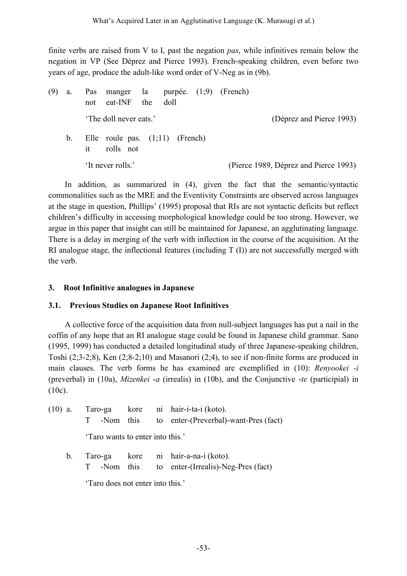finite verbs are raised from V to I, past the negation *pas*, while infinitives remain below the negation in VP (See Déprez and Pierce 1993). French-speaking children, even before two years of age, produce the adult-like word order of V-Neg as in (9b).

| (9) | a.          | Pas<br>not | manger la purpée. (1;9) (French)<br>eat-INF    | the | doll |  |                                       |  |
|-----|-------------|------------|------------------------------------------------|-----|------|--|---------------------------------------|--|
|     |             |            | 'The doll never eats.'                         |     |      |  | (Déprez and Pierce 1993)              |  |
|     | $b_{\cdot}$ | 1t         | Elle roule pas. $(1,11)$ (French)<br>rolls not |     |      |  |                                       |  |
|     |             |            | 'It never rolls.'                              |     |      |  | (Pierce 1989, Déprez and Pierce 1993) |  |

In addition, as summarized in (4), given the fact that the semantic/syntactic commonalities such as the MRE and the Eventivity Constraints are observed across languages at the stage in question, Phillips' (1995) proposal that RIs are not syntactic deficits but reflect children's difficulty in accessing morphological knowledge could be too strong. However, we argue in this paper that insight can still be maintained for Japanese, an agglutinating language. There is a delay in merging of the verb with inflection in the course of the acquisition. At the RI analogue stage, the inflectional features (including T (I)) are not successfully merged with the verb.

# **3. Root Infinitive analogues in Japanese**

# **3.1. Previous Studies on Japanese Root Infinitives**

A collective force of the acquisition data from null-subject languages has put a nail in the coffin of any hope that an RI analogue stage could be found in Japanese child grammar. Sano (1995, 1999) has conducted a detailed longitudinal study of three Japanese-speaking children, Toshi (2;3-2;8), Ken (2;8-2;10) and Masanori (2;4), to see if non-finite forms are produced in main clauses. The verb forms he has examined are exemplified in (10): *Renyookei -i* (preverbal) in (10a), *Mizenkei* -*a* (irrealis) in (10b), and the Conjunctive -*te* (participial) in (10c).

| $(10)$ a. |                                  |  | Taro-ga kore ni hair-i-ta-i (koto).<br>T -Nom this to enter-(Preverbal)-want-Pres (fact)  |
|-----------|----------------------------------|--|-------------------------------------------------------------------------------------------|
|           | 'Taro wants to enter into this.' |  |                                                                                           |
|           |                                  |  | b. Taro-ga kore ni hair-a-na-i (koto).<br>T -Nom this to enter-(Irrealis)-Neg-Pres (fact) |

'Taro does not enter into this.'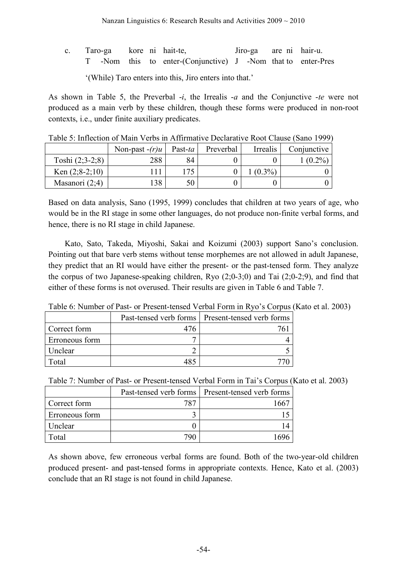|                                                         |  |  |  |  | c. Taro-ga kore ni hait-te,                                  |  |  | Jiro-ga are ni hair-u. |  |
|---------------------------------------------------------|--|--|--|--|--------------------------------------------------------------|--|--|------------------------|--|
|                                                         |  |  |  |  | T -Nom this to enter-(Conjunctive) J -Nom that to enter-Pres |  |  |                        |  |
| "(While) Taro enters into this, Jiro enters into that." |  |  |  |  |                                                              |  |  |                        |  |

As shown in Table 5, the Preverbal -*i*, the Irrealis -*a* and the Conjunctive -*te* were not produced as a main verb by these children, though these forms were produced in non-root contexts, i.e., under finite auxiliary predicates.

| Tuolo 9. milloenon ol ivium Veros in Amminium e Deeninum e Root Chuise (Buno 1999 |                  |         |           |           |             |  |  |  |  |
|-----------------------------------------------------------------------------------|------------------|---------|-----------|-----------|-------------|--|--|--|--|
|                                                                                   | Non-past $-(r)u$ | Past-ta | Preverbal | Irrealis  | Conjunctive |  |  |  |  |
| Toshi $(2;3-2;8)$                                                                 | 288              | 84      |           |           | $(0.2\%$    |  |  |  |  |
| Ken $(2; 8-2; 10)$                                                                |                  | 175     |           | $(0.3\%)$ |             |  |  |  |  |
| Masanori $(2,4)$                                                                  | 38               | 50      |           |           |             |  |  |  |  |

Table 5: Inflection of Main Verbs in Affirmative Declarative Root Clause (Sano 1999)

Based on data analysis, Sano (1995, 1999) concludes that children at two years of age, who would be in the RI stage in some other languages, do not produce non-finite verbal forms, and hence, there is no RI stage in child Japanese.

Kato, Sato, Takeda, Miyoshi, Sakai and Koizumi (2003) support Sano's conclusion. Pointing out that bare verb stems without tense morphemes are not allowed in adult Japanese, they predict that an RI would have either the present- or the past-tensed form. They analyze the corpus of two Japanese-speaking children, Ryo (2;0-3;0) and Tai (2;0-2;9), and find that either of these forms is not overused. Their results are given in Table 6 and Table 7.

| Tuble 0. I rullioci 01 I ust 01 I resent tenseu Verbui I onli in Icyto s corpus |  |                                                    |  |  |  |
|---------------------------------------------------------------------------------|--|----------------------------------------------------|--|--|--|
|                                                                                 |  | Past-tensed verb forms   Present-tensed verb forms |  |  |  |
| Correct form                                                                    |  |                                                    |  |  |  |
| Erroneous form                                                                  |  |                                                    |  |  |  |
| Unclear                                                                         |  |                                                    |  |  |  |
| Total                                                                           |  |                                                    |  |  |  |

Table 6: Number of Past- or Present-tensed Verbal Form in Ryo's Corpus (Kato et al. 2003)

| Table 7: Number of Past- or Present-tensed Verbal Form in Tai's Corpus (Kato et al. 2003) |  |  |  |
|-------------------------------------------------------------------------------------------|--|--|--|
|-------------------------------------------------------------------------------------------|--|--|--|

|                |     | Past-tensed verb forms   Present-tensed verb forms |
|----------------|-----|----------------------------------------------------|
| Correct form   | 787 |                                                    |
| Erroneous form |     |                                                    |
| Unclear        |     |                                                    |
| Total          | 70ſ |                                                    |

As shown above, few erroneous verbal forms are found. Both of the two-year-old children produced present- and past-tensed forms in appropriate contexts. Hence, Kato et al. (2003) conclude that an RI stage is not found in child Japanese.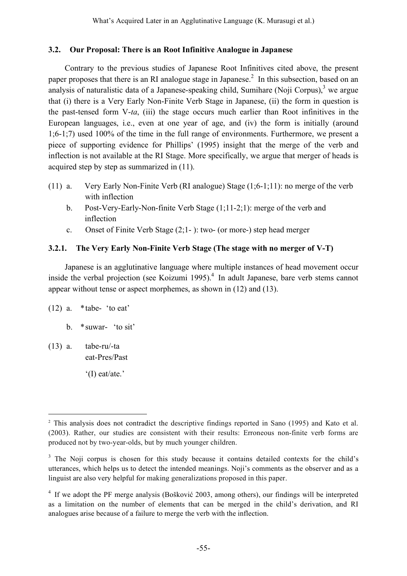# **3.2. Our Proposal: There is an Root Infinitive Analogue in Japanese**

Contrary to the previous studies of Japanese Root Infinitives cited above, the present paper proposes that there is an RI analogue stage in Japanese.<sup>2</sup> In this subsection, based on an analysis of naturalistic data of a Japanese-speaking child, Sumihare (Noji Corpus),<sup>3</sup> we argue that (i) there is a Very Early Non-Finite Verb Stage in Japanese, (ii) the form in question is the past-tensed form V-*ta*, (iii) the stage occurs much earlier than Root infinitives in the European languages, i.e., even at one year of age, and (iv) the form is initially (around 1;6-1;7) used 100% of the time in the full range of environments. Furthermore, we present a piece of supporting evidence for Phillips' (1995) insight that the merge of the verb and inflection is not available at the RI Stage. More specifically, we argue that merger of heads is acquired step by step as summarized in (11).

- (11) a. Very Early Non-Finite Verb (RI analogue) Stage (1;6-1;11): no merge of the verb with inflection
	- b. Post-Very-Early-Non-finite Verb Stage (1;11-2;1): merge of the verb and inflection
	- c. Onset of Finite Verb Stage (2;1- ): two- (or more-) step head merger

# **3.2.1. The Very Early Non-Finite Verb Stage (The stage with no merger of V-T)**

Japanese is an agglutinative language where multiple instances of head movement occur inside the verbal projection (see Koizumi 1995). <sup>4</sup> In adult Japanese, bare verb stems cannot appear without tense or aspect morphemes, as shown in (12) and (13).

 $(12)$  a. \*tabe- 'to eat'

b. \*suwar- 'to sit'

(13) a. tabe-ru/-ta eat-Pres/Past

'(I) eat/ate.'

<sup>&</sup>lt;sup>2</sup> This analysis does not contradict the descriptive findings reported in Sano (1995) and Kato et al. (2003). Rather, our studies are consistent with their results: Erroneous non-finite verb forms are produced not by two-year-olds, but by much younger children.

<sup>&</sup>lt;sup>3</sup> The Noji corpus is chosen for this study because it contains detailed contexts for the child's utterances, which helps us to detect the intended meanings. Noji's comments as the observer and as a linguist are also very helpful for making generalizations proposed in this paper.

<sup>4</sup> If we adopt the PF merge analysis (Bošković 2003, among others), our findings will be interpreted as a limitation on the number of elements that can be merged in the child's derivation, and RI analogues arise because of a failure to merge the verb with the inflection.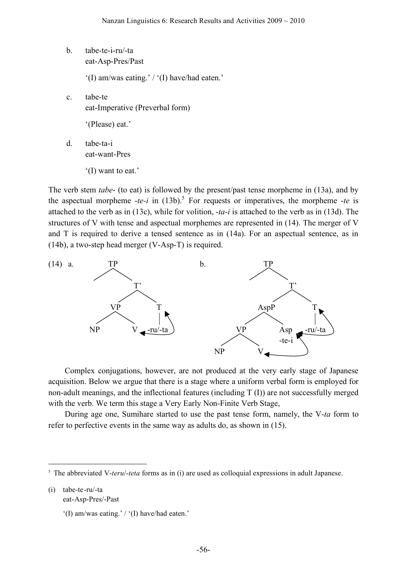b. tabe-te-i-ru/-ta eat-Asp-Pres/Past

'(I) am/was eating.' / '(I) have/had eaten.'

c. tabe-te eat-Imperative (Preverbal form)

'(Please) eat.'

- d. tabe-ta-i eat-want-Pres
	- '(I) want to eat.'

The verb stem *tabe*- (to eat) is followed by the present/past tense morpheme in (13a), and by the aspectual morpheme  $-te-i$  in  $(13b)$ .<sup>5</sup> For requests or imperatives, the morpheme  $-te$  is attached to the verb as in (13c), while for volition, -*ta-i* is attached to the verb as in (13d). The structures of V with tense and aspectual morphemes are represented in (14). The merger of V and T is required to derive a tensed sentence as in (14a). For an aspectual sentence, as in (14b), a two-step head merger (V-Asp-T) is required.



Complex conjugations, however, are not produced at the very early stage of Japanese acquisition. Below we argue that there is a stage where a uniform verbal form is employed for non-adult meanings, and the inflectional features (including T (I)) are not successfully merged with the verb. We term this stage a Very Early Non-Finite Verb Stage,

During age one, Sumihare started to use the past tense form, namely, the V-*ta* form to refer to perfective events in the same way as adults do, as shown in (15).

(i) tabe-te-ru/-ta

 <sup>5</sup> The abbreviated V-*teru*/-*teta* forms as in (i) are used as colloquial expressions in adult Japanese.

eat-Asp-Pres/-Past

<sup>&#</sup>x27;(I) am/was eating.' / '(I) have/had eaten.'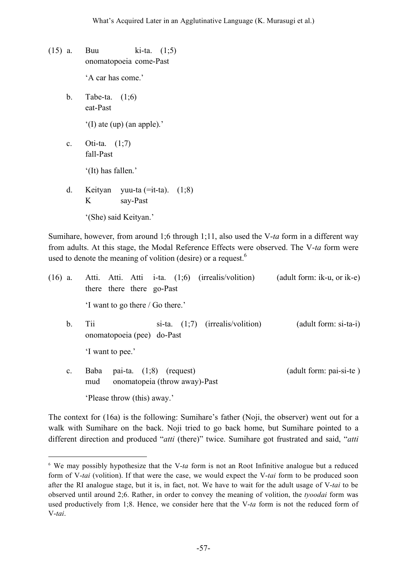- (15) a. Buu ki-ta. (1;5) onomatopoeia come-Past 'A car has come.'
	- b. Tabe-ta. (1;6) eat-Past

'(I) ate (up) (an apple).'

c. Oti-ta. (1;7) fall-Past

'(It) has fallen.'

d. Keityan yuu-ta (=it-ta). (1;8) K say-Past '(She) said Keityan.'

Sumihare, however, from around 1;6 through 1;11, also used the V-*ta* form in a different way from adults. At this stage, the Modal Reference Effects were observed. The V-*ta* form were used to denote the meaning of volition (desire) or a request.

| $(16)$ a.      | Atti. Atti. Atti i-ta. (1;6) (irrealis/volition)<br>there there go-Past          | (adult form: ik-u, or ik-e) |
|----------------|----------------------------------------------------------------------------------|-----------------------------|
|                | 'I want to go there / Go there.'                                                 |                             |
| b.             | Tii<br>si-ta. $(1,7)$ (irrealis/volition)<br>onomatopoeia (pee) do-Past          | (adult form: si-ta-i)       |
|                | I want to pee.'                                                                  |                             |
| $\mathbf{c}$ . | pai-ta. $(1,8)$ (request)<br><b>Baba</b><br>onomatopeia (throw away)-Past<br>mud | (adult form: pai-si-te)     |
|                | 'Please throw (this) away.'                                                      |                             |

The context for (16a) is the following: Sumihare's father (Noji, the observer) went out for a walk with Sumihare on the back. Noji tried to go back home, but Sumihare pointed to a different direction and produced "*atti* (there)" twice. Sumihare got frustrated and said, "*atti*

 <sup>6</sup> We may possibly hypothesize that the V-*ta* form is not an Root Infinitive analogue but <sup>a</sup> reduced form of V-*tai* (volition). If that were the case, we would expect the V-*tai* form to be produced soon after the RI analogue stage, but it is, in fact, not. We have to wait for the adult usage of V-*tai* to be observed until around 2;6. Rather, in order to convey the meaning of volition, the *tyoodai* form was used productively from 1;8. Hence, we consider here that the V-*ta* form is not the reduced form of V-*tai*.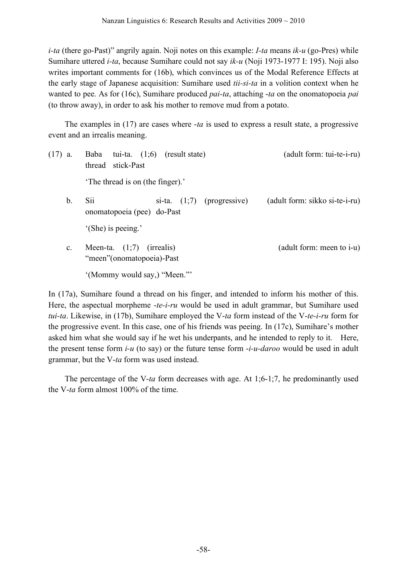*i-ta* (there go-Past)" angrily again. Noji notes on this example: *I-ta* means *ik-u* (go-Pres) while Sumihare uttered *i-ta*, because Sumihare could not say *ik-u* (Noji 1973-1977 I: 195). Noji also writes important comments for (16b), which convinces us of the Modal Reference Effects at the early stage of Japanese acquisition: Sumihare used *tii-si-ta* in a volition context when he wanted to pee. As for (16c), Sumihare produced *pai-ta*, attaching -*ta* on the onomatopoeia *pai* (to throw away), in order to ask his mother to remove mud from a potato.

The examples in (17) are cases where -*ta* is used to express a result state, a progressive event and an irrealis meaning.

- (17) a. Baba tui-ta. (1;6) (result state) (adult form: tui-te-i-ru) thread stick-Past 'The thread is on (the finger).' b. Sii si-ta. (1;7) (progressive) (adult form: sikko si-te-i-ru) onomatopoeia (pee) do-Past '(She) is peeing.' c. Meen-ta.  $(1,7)$  (irrealis) (adult form: meen to i-u) "meen"(onomatopoeia)-Past
	- '(Mommy would say,) "Meen."'

In (17a), Sumihare found a thread on his finger, and intended to inform his mother of this. Here, the aspectual morpheme -*te-i-ru* would be used in adult grammar, but Sumihare used *tui-ta*. Likewise, in (17b), Sumihare employed the V-*ta* form instead of the V-*te-i-ru* form for the progressive event. In this case, one of his friends was peeing. In (17c), Sumihare's mother asked him what she would say if he wet his underpants, and he intended to reply to it. Here, the present tense form *i-u* (to say) or the future tense form -*i-u-daroo* would be used in adult grammar, but the V-*ta* form was used instead.

The percentage of the V-*ta* form decreases with age. At 1;6-1;7, he predominantly used the V-*ta* form almost 100% of the time.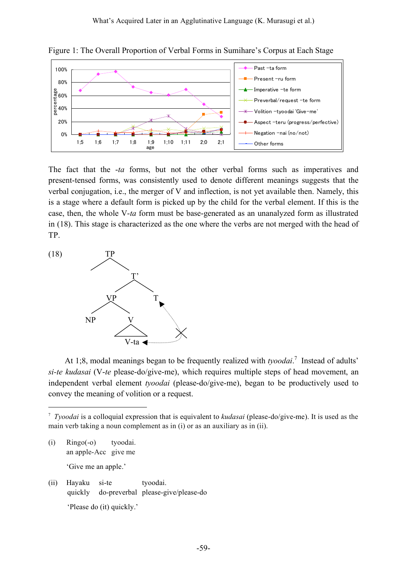

Figure 1: The Overall Proportion of Verbal Forms in Sumihare's Corpus at Each Stage

The fact that the -*ta* forms, but not the other verbal forms such as imperatives and present-tensed forms, was consistently used to denote different meanings suggests that the verbal conjugation, i.e., the merger of V and inflection, is not yet available then. Namely, this is a stage where a default form is picked up by the child for the verbal element. If this is the case, then, the whole V-*ta* form must be base-generated as an unanalyzed form as illustrated in (18). This stage is characterized as the one where the verbs are not merged with the head of TP.



At 1;8, modal meanings began to be frequently realized with *tyoodai*. <sup>7</sup> Instead of adults' *si-te kudasai* (V-*te* please-do/give-me), which requires multiple steps of head movement, an independent verbal element *tyoodai* (please-do/give-me), began to be productively used to convey the meaning of volition or a request.

- (i) Ringo(-o) tyoodai. an apple-Acc give me 'Give me an apple.'
- (ii) Hayaku si-te tyoodai. quickly do-preverbal please-give/please-do 'Please do (it) quickly.'

 <sup>7</sup> *Tyoodai* is <sup>a</sup> colloquial expression that is equivalent to *kudasai* (please-do/give-me). It is used as the main verb taking a noun complement as in (i) or as an auxiliary as in (ii).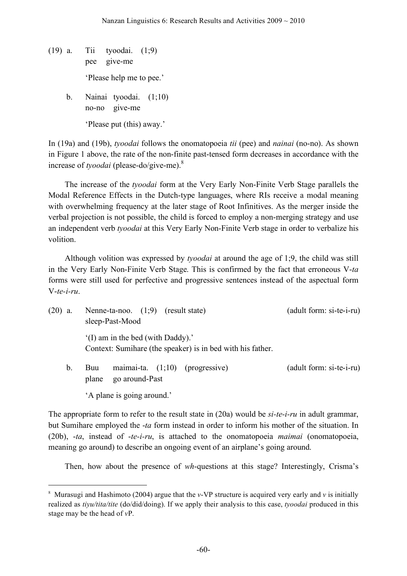- (19) a. Tii tyoodai. (1;9) pee give-me 'Please help me to pee.'
	- b. Nainai tyoodai. (1;10) no-no give-me 'Please put (this) away.'

In (19a) and (19b), *tyoodai* follows the onomatopoeia *tii* (pee) and *nainai* (no-no). As shown in Figure 1 above, the rate of the non-finite past-tensed form decreases in accordance with the increase of *tyoodai* (please-do/give-me). 8

The increase of the *tyoodai* form at the Very Early Non-Finite Verb Stage parallels the Modal Reference Effects in the Dutch-type languages, where RIs receive a modal meaning with overwhelming frequency at the later stage of Root Infinitives. As the merger inside the verbal projection is not possible, the child is forced to employ a non-merging strategy and use an independent verb *tyoodai* at this Very Early Non-Finite Verb stage in order to verbalize his volition.

Although volition was expressed by *tyoodai* at around the age of 1;9, the child was still in the Very Early Non-Finite Verb Stage. This is confirmed by the fact that erroneous V-*ta* forms were still used for perfective and progressive sentences instead of the aspectual form V-*te-i-ru*.

| $(20)$ a.     |              | Nenne-ta-noo. $(1,9)$ (result state)<br>sleep-Past-Mood |                                                            | (adult form: si-te-i-ru) |
|---------------|--------------|---------------------------------------------------------|------------------------------------------------------------|--------------------------|
|               |              | (I) am in the bed (with Daddy).'                        | Context: Sumihare (the speaker) is in bed with his father. |                          |
| $\mathbf b$ . | Buu<br>plane | go around-Past                                          | maimai-ta. $(1,10)$ (progressive)                          | (adult form: si-te-i-ru) |
|               |              | 'A plane is going around.'                              |                                                            |                          |

The appropriate form to refer to the result state in (20a) would be *si-te-i-ru* in adult grammar, but Sumihare employed the -*ta* form instead in order to inform his mother of the situation. In (20b), -*ta*, instead of -*te-i-ru*, is attached to the onomatopoeia *maimai* (onomatopoeia, meaning go around) to describe an ongoing event of an airplane's going around.

Then, how about the presence of *wh*-questions at this stage? Interestingly, Crisma's

 <sup>8</sup> Murasugi and Hashimoto (2004) argue that the *v*-VP structure is acquired very early and *<sup>v</sup>* is initially realized as *tiyu/tita/tite* (do/did/doing). If we apply their analysis to this case, *tyoodai* produced in this stage may be the head of *v*P.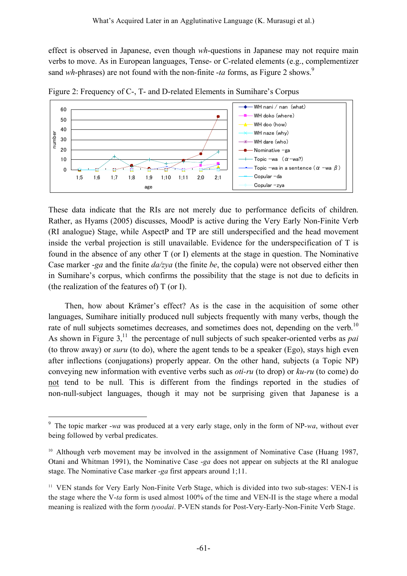effect is observed in Japanese, even though *wh*-questions in Japanese may not require main verbs to move. As in European languages, Tense- or C-related elements (e.g., complementizer sand *wh*-phrases) are not found with the non-finite -*ta* forms, as Figure 2 shows.<sup>9</sup>



Figure 2: Frequency of C-, T- and D-related Elements in Sumihare's Corpus

These data indicate that the RIs are not merely due to performance deficits of children. Rather, as Hyams (2005) discusses, MoodP is active during the Very Early Non-Finite Verb (RI analogue) Stage, while AspectP and TP are still underspecified and the head movement inside the verbal projection is still unavailable. Evidence for the underspecification of T is found in the absence of any other T (or I) elements at the stage in question. The Nominative Case marker -*ga* and the finite *da/zya* (the finite *be*, the copula) were not observed either then in Sumihare's corpus, which confirms the possibility that the stage is not due to deficits in (the realization of the features of) T (or I).

Then, how about Krämer's effect? As is the case in the acquisition of some other languages, Sumihare initially produced null subjects frequently with many verbs, though the rate of null subjects sometimes decreases, and sometimes does not, depending on the verb.<sup>10</sup> As shown in Figure 3, <sup>11</sup> the percentage of null subjects of such speaker-oriented verbs as *pai* (to throw away) or *suru* (to do), where the agent tends to be a speaker (Ego), stays high even after inflections (conjugations) properly appear. On the other hand, subjects (a Topic NP) conveying new information with eventive verbs such as *oti-ru* (to drop) or *ku-ru* (to come) do not tend to be null. This is different from the findings reported in the studies of non-null-subject languages, though it may not be surprising given that Japanese is a

 <sup>9</sup> The topic marker -*wa* was produced at a very early stage, only in the form of NP*-wa*, without ever being followed by verbal predicates.

<sup>&</sup>lt;sup>10</sup> Although verb movement may be involved in the assignment of Nominative Case (Huang 1987, Otani and Whitman 1991), the Nominative Case -*ga* does not appear on subjects at the RI analogue stage. The Nominative Case marker -*ga* first appears around 1;11.

<sup>&</sup>lt;sup>11</sup> VEN stands for Very Early Non-Finite Verb Stage, which is divided into two sub-stages: VEN-I is the stage where the V-*ta* form is used almost 100% of the time and VEN-II is the stage where a modal meaning is realized with the form *tyoodai*. P-VEN stands for Post-Very-Early-Non-Finite Verb Stage.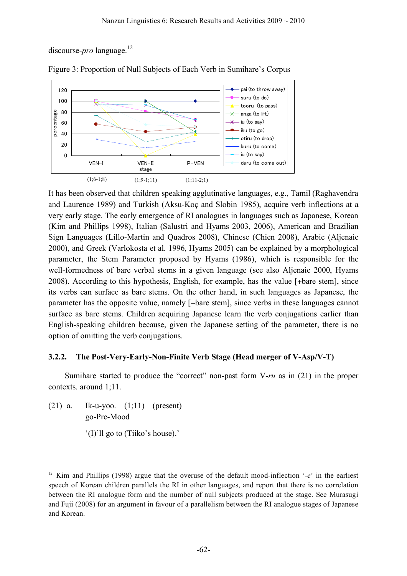discourse-*pro* language. 12



Figure 3: Proportion of Null Subjects of Each Verb in Sumihare's Corpus

It has been observed that children speaking agglutinative languages, e.g., Tamil (Raghavendra and Laurence 1989) and Turkish (Aksu-Koç and Slobin 1985), acquire verb inflections at a very early stage. The early emergence of RI analogues in languages such as Japanese, Korean (Kim and Phillips 1998), Italian (Salustri and Hyams 2003, 2006), American and Brazilian Sign Languages (Lillo-Martin and Quadros 2008), Chinese (Chien 2008), Arabic (Aljenaie 2000), and Greek (Varlokosta et al. 1996, Hyams 2005) can be explained by a morphological parameter, the Stem Parameter proposed by Hyams (1986), which is responsible for the well-formedness of bare verbal stems in a given language (see also Aljenaie 2000, Hyams 2008). According to this hypothesis, English, for example, has the value [+bare stem], since its verbs can surface as bare stems. On the other hand, in such languages as Japanese, the parameter has the opposite value, namely [−bare stem], since verbs in these languages cannot surface as bare stems. Children acquiring Japanese learn the verb conjugations earlier than English-speaking children because, given the Japanese setting of the parameter, there is no option of omitting the verb conjugations.

# **3.2.2. The Post-Very-Early-Non-Finite Verb Stage (Head merger of V-Asp/V-T)**

Sumihare started to produce the "correct" non-past form V-*ru* as in (21) in the proper contexts. around 1;11.

(21) a. Ik-u-yoo. (1;11) (present) go-Pre-Mood

<sup>&#</sup>x27;(I)'ll go to (Tiiko's house).'

 <sup>12</sup> Kim and Phillips (1998) argue that the overuse of the default mood-inflection '*-e*' in the earliest speech of Korean children parallels the RI in other languages, and report that there is no correlation between the RI analogue form and the number of null subjects produced at the stage. See Murasugi and Fuji (2008) for an argument in favour of a parallelism between the RI analogue stages of Japanese and Korean.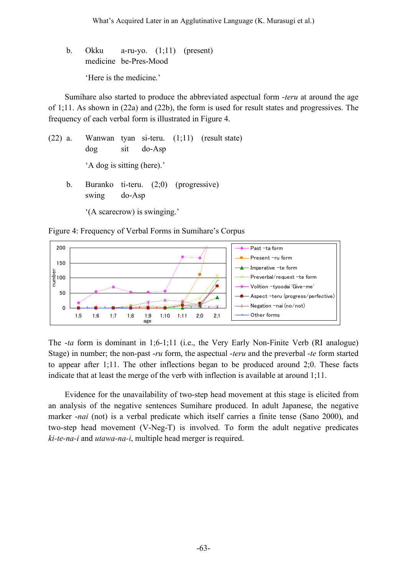b. Okku a-ru-yo. (1;11) (present) medicine be-Pres-Mood 'Here is the medicine.'

Sumihare also started to produce the abbreviated aspectual form -*teru* at around the age of 1;11. As shown in (22a) and (22b), the form is used for result states and progressives. The frequency of each verbal form is illustrated in Figure 4.

(22) a. Wanwan tyan si-teru. (1;11) (result state) dog sit do-Asp 'A dog is sitting (here).' b. Buranko ti-teru. (2;0) (progressive) swing do-Asp

'(A scarecrow) is swinging.'

Figure 4: Frequency of Verbal Forms in Sumihare's Corpus



The -*ta* form is dominant in 1;6-1;11 (i.e., the Very Early Non-Finite Verb (RI analogue) Stage) in number; the non-past -*ru* form, the aspectual -*teru* and the preverbal -*te* form started to appear after 1;11. The other inflections began to be produced around 2;0. These facts indicate that at least the merge of the verb with inflection is available at around 1;11.

Evidence for the unavailability of two-step head movement at this stage is elicited from an analysis of the negative sentences Sumihare produced. In adult Japanese, the negative marker -*nai* (not) is a verbal predicate which itself carries a finite tense (Sano 2000), and two-step head movement (V-Neg-T) is involved. To form the adult negative predicates *ki-te-na-i* and *utawa-na-i*, multiple head merger is required.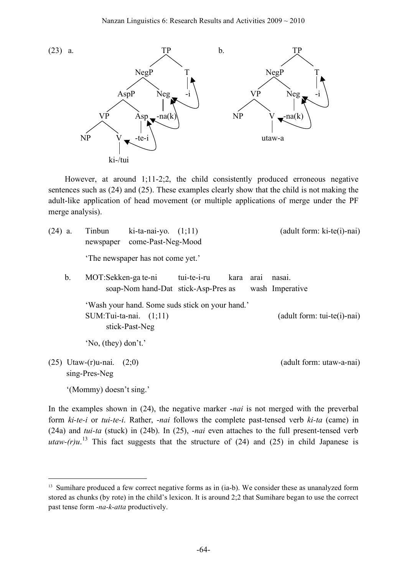

However, at around 1;11-2;2, the child consistently produced erroneous negative sentences such as (24) and (25). These examples clearly show that the child is not making the adult-like application of head movement (or multiple applications of merge under the PF merge analysis).

| $(24)$ a. |               | Tinbun<br>newspaper                        | ki-ta-nai-yo. $(1,11)$<br>come-Past-Neg-Mood  |                                                    |      |      | $(adult form: ki-te(i)-nai)$  |
|-----------|---------------|--------------------------------------------|-----------------------------------------------|----------------------------------------------------|------|------|-------------------------------|
|           |               |                                            | The newspaper has not come yet.'              |                                                    |      |      |                               |
|           | $\mathbf b$ . | MOT:Sekken-ga te-ni                        |                                               | tui-te-i-ru<br>soap-Nom hand-Dat stick-Asp-Pres as | kara | arai | nasai.<br>wash Imperative     |
|           |               |                                            | $SUM: Tui-ta-nai.$ $(1,11)$<br>stick-Past-Neg | 'Wash your hand. Some suds stick on your hand.'    |      |      | $(adult form: tui-te(i)-nai)$ |
|           |               | $'No$ , (they) don't.'                     |                                               |                                                    |      |      |                               |
|           |               | $(25)$ Utaw- $(r)$ u-nai.<br>sing-Pres-Neg | (2;0)                                         |                                                    |      |      | (adult form: utaw-a-nai)      |
|           |               | '(Mommy) doesn't sing.'                    |                                               |                                                    |      |      |                               |

In the examples shown in (24), the negative marker -*nai* is not merged with the preverbal form *ki-te-i* or *tui-te-i*. Rather, -*nai* follows the complete past-tensed verb *ki-ta* (came) in (24a) and *tui-ta* (stuck) in (24b). In (25), -*nai* even attaches to the full present-tensed verb *utaw-(r)u*.<sup>13</sup> This fact suggests that the structure of (24) and (25) in child Japanese is

<sup>&</sup>lt;sup>13</sup> Sumihare produced a few correct negative forms as in (ia-b). We consider these as unanalyzed form stored as chunks (by rote) in the child's lexicon. It is around 2;2 that Sumihare began to use the correct past tense form -*na-k-atta* productively.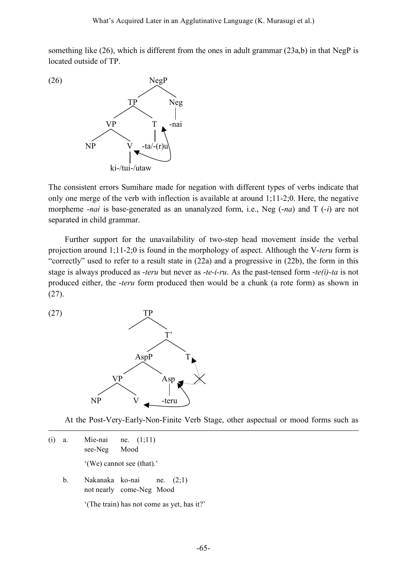something like (26), which is different from the ones in adult grammar (23a,b) in that NegP is located outside of TP.



The consistent errors Sumihare made for negation with different types of verbs indicate that only one merge of the verb with inflection is available at around 1;11-2;0. Here, the negative morpheme -*nai* is base-generated as an unanalyzed form, i.e., Neg (-*na*) and T (-*i*) are not separated in child grammar.

Further support for the unavailability of two-step head movement inside the verbal projection around 1;11-2;0 is found in the morphology of aspect. Although the V-*teru* form is "correctly" used to refer to a result state in (22a) and a progressive in (22b), the form in this stage is always produced as -*teru* but never as -*te-i-ru*. As the past-tensed form -*te(i)-ta* is not produced either, the -*teru* form produced then would be a chunk (a rote form) as shown in (27).

<u>.</u>



At the Post-Very-Early-Non-Finite Verb Stage, other aspectual or mood forms such as

(i) a. Mie-nai ne. (1;11) see-Neg Mood

'(We) cannot see (that).'

b. Nakanaka ko-nai ne. (2;1) not nearly come-Neg Mood

'(The train) has not come as yet, has it?'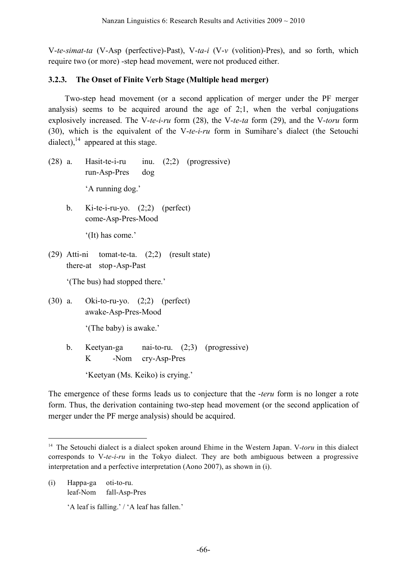V-*te-simat-ta* (V-Asp (perfective)-Past), V-*ta-i* (V-*v* (volition)-Pres), and so forth, which require two (or more) -step head movement, were not produced either.

# **3.2.3. The Onset of Finite Verb Stage (Multiple head merger)**

Two-step head movement (or a second application of merger under the PF merger analysis) seems to be acquired around the age of 2;1, when the verbal conjugations explosively increased. The V-*te-i-ru* form (28), the V-*te-ta* form (29), and the V-*toru* form (30), which is the equivalent of the V-*te-i-ru* form in Sumihare's dialect (the Setouchi dialect),  $^{14}$  appeared at this stage.

- (28) a. Hasit-te-i-ru inu. (2;2) (progressive) run-Asp-Pres dog 'A running dog.'
	- b. Ki-te-i-ru-yo.  $(2,2)$  (perfect) come-Asp-Pres-Mood

'(It) has come.'

(29) Atti-ni tomat-te-ta. (2;2) (result state) there-at stop-Asp-Past

'(The bus) had stopped there.'

(30) a. Oki-to-ru-yo. (2;2) (perfect) awake-Asp-Pres-Mood

'(The baby) is awake.'

b. Keetyan-ga nai-to-ru. (2;3) (progressive) K -Nom cry-Asp-Pres

'Keetyan (Ms. Keiko) is crying.'

The emergence of these forms leads us to conjecture that the -*teru* form is no longer a rote form. Thus, the derivation containing two-step head movement (or the second application of merger under the PF merge analysis) should be acquired.

(i) Happa-ga oti-to-ru. leaf-Nom fall-Asp-Pres

'A leaf is falling.' / 'A leaf has fallen.'

<sup>&</sup>lt;sup>14</sup> The Setouchi dialect is a dialect spoken around Ehime in the Western Japan. V-toru in this dialect corresponds to V-*te-i-ru* in the Tokyo dialect. They are both ambiguous between a progressive interpretation and a perfective interpretation (Aono 2007), as shown in (i).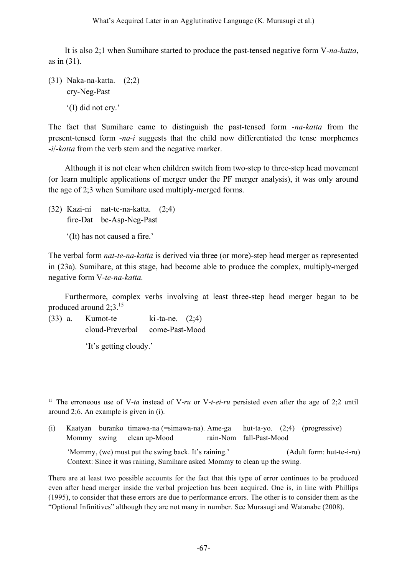It is also 2;1 when Sumihare started to produce the past-tensed negative form V-*na-katta*, as in (31).

(31) Naka-na-katta. (2;2) cry-Neg-Past '(I) did not cry.'

The fact that Sumihare came to distinguish the past-tensed form -*na-katta* from the present-tensed form -*na-i* suggests that the child now differentiated the tense morphemes -*i*/*-katta* from the verb stem and the negative marker.

Although it is not clear when children switch from two-step to three-step head movement (or learn multiple applications of merger under the PF merger analysis), it was only around the age of 2;3 when Sumihare used multiply-merged forms.

- (32) Kazi-ni nat-te-na-katta. (2;4) fire-Dat be-Asp-Neg-Past
	- '(It) has not caused a fire.'

The verbal form *nat-te-na-katta* is derived via three (or more)-step head merger as represented in (23a). Sumihare, at this stage, had become able to produce the complex, multiply-merged negative form V-*te-na-katta*.

Furthermore, complex verbs involving at least three-step head merger began to be produced around 2;3.<sup>15</sup>

 $(33)$  a. Kumot-te ki-ta-ne.  $(2;4)$ cloud-Preverbal come-Past-Mood

'It's getting cloudy.'

(i) Kaatyan buranko timawa-na (=simawa-na). Ame-ga hut-ta-yo. (2;4) (progressive) Mommy swing clean up-Mood rain-Nom fall-Past-Mood

'Mommy, (we) must put the swing back. It's raining.' (Adult form: hut-te-i-ru) Context: Since it was raining, Sumihare asked Mommy to clean up the swing.

 <sup>15</sup> The erroneous use of V-*ta* instead of V-*ru* or V-*t-ei-ru* persisted even after the age of 2;2 until around 2;6. An example is given in (i).

There are at least two possible accounts for the fact that this type of error continues to be produced even after head merger inside the verbal projection has been acquired. One is, in line with Phillips (1995), to consider that these errors are due to performance errors. The other is to consider them as the "Optional Infinitives" although they are not many in number. See Murasugi and Watanabe (2008).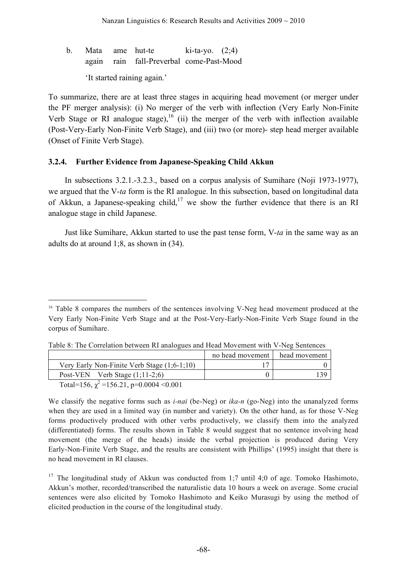b. Mata ame hut-te  $ki-ta-yo$ .  $(2,4)$ again rain fall-Preverbal come-Past-Mood 'It started raining again.'

To summarize, there are at least three stages in acquiring head movement (or merger under the PF merger analysis): (i) No merger of the verb with inflection (Very Early Non-Finite Verb Stage or RI analogue stage),  $^{16}$  (ii) the merger of the verb with inflection available (Post-Very-Early Non-Finite Verb Stage), and (iii) two (or more)- step head merger available (Onset of Finite Verb Stage).

### **3.2.4. Further Evidence from Japanese-Speaking Child Akkun**

In subsections 3.2.1.-3.2.3., based on a corpus analysis of Sumihare (Noji 1973-1977), we argued that the V-*ta* form is the RI analogue. In this subsection, based on longitudinal data of Akkun, a Japanese-speaking child,<sup>17</sup> we show the further evidence that there is an RI analogue stage in child Japanese.

Just like Sumihare, Akkun started to use the past tense form, V-*ta* in the same way as an adults do at around 1;8, as shown in (34).

<sup>&</sup>lt;sup>16</sup> Table 8 compares the numbers of the sentences involving V-Neg head movement produced at the Very Early Non-Finite Verb Stage and at the Post-Very-Early-Non-Finite Verb Stage found in the corpus of Sumihare.

|                                                         | no head movement | head movement |
|---------------------------------------------------------|------------------|---------------|
| Very Early Non-Finite Verb Stage $(1,6-1,10)$           |                  |               |
| Post-VEN Verb Stage $(1,11-2,6)$                        |                  |               |
| $T_{11}1 - 156 = 2 - 156.21$ $\ldots$ 0.000 $\pm 0.001$ |                  |               |

Table 8: The Correlation between RI analogues and Head Movement with V-Neg Sentences

Total=156,  $\chi^2$ =156.21, p=0.0004 <0.001

We classify the negative forms such as *i-nai* (be-Neg) or *ika-n* (go-Neg) into the unanalyzed forms when they are used in a limited way (in number and variety). On the other hand, as for those V-Neg forms productively produced with other verbs productively, we classify them into the analyzed (differentiated) forms. The results shown in Table 8 would suggest that no sentence involving head movement (the merge of the heads) inside the verbal projection is produced during Very Early-Non-Finite Verb Stage, and the results are consistent with Phillips' (1995) insight that there is no head movement in RI clauses.

<sup>17</sup> The longitudinal study of Akkun was conducted from 1;7 until 4;0 of age. Tomoko Hashimoto, Akkun's mother, recorded/transcribed the naturalistic data 10 hours a week on average. Some crucial sentences were also elicited by Tomoko Hashimoto and Keiko Murasugi by using the method of elicited production in the course of the longitudinal study.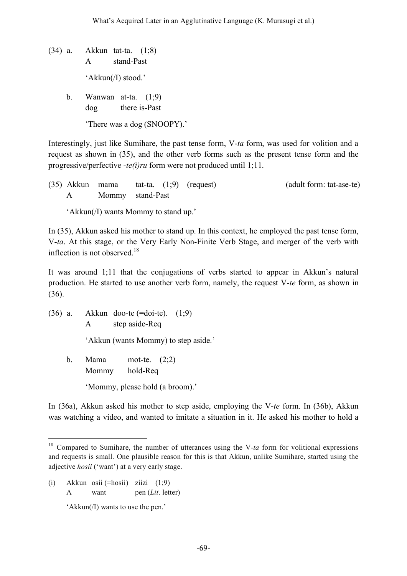- (34) a. Akkun tat-ta. (1;8) A stand-Past 'Akkun(/I) stood.'
	- b. Wanwan at-ta. (1;9)
		- dog there is-Past

'There was a dog (SNOOPY).'

Interestingly, just like Sumihare, the past tense form, V-*ta* form, was used for volition and a request as shown in (35), and the other verb forms such as the present tense form and the progressive/perfective -*te(i)ru* form were not produced until 1;11.

| (35) Akkun mama |                  |  | tat-ta. $(1,9)$ (request) | (adult form: tat-ase-te) |
|-----------------|------------------|--|---------------------------|--------------------------|
|                 | Mommy stand-Past |  |                           |                          |

'Akkun(/I) wants Mommy to stand up.'

In (35), Akkun asked his mother to stand up. In this context, he employed the past tense form, V-*ta*. At this stage, or the Very Early Non-Finite Verb Stage, and merger of the verb with inflection is not observed.<sup>18</sup>

It was around 1;11 that the conjugations of verbs started to appear in Akkun's natural production. He started to use another verb form, namely, the request V-*te* form, as shown in (36).

(36) a. Akkun doo-te (=doi-te). (1;9) A step aside-Req

'Akkun (wants Mommy) to step aside.'

b. Mama mot-te. (2;2) Mommy hold-Req 'Mommy, please hold (a broom).'

In (36a), Akkun asked his mother to step aside, employing the V-*te* form. In (36b), Akkun was watching a video, and wanted to imitate a situation in it. He asked his mother to hold a

(i) Akkun osii (=hosii) ziizi (1;9) A want pen (*Lit*. letter)

'Akkun(/I) wants to use the pen.'

<sup>&</sup>lt;sup>18</sup> Compared to Sumihare, the number of utterances using the V-ta form for volitional expressions and requests is small. One plausible reason for this is that Akkun, unlike Sumihare, started using the adjective *hosii* ('want') at a very early stage.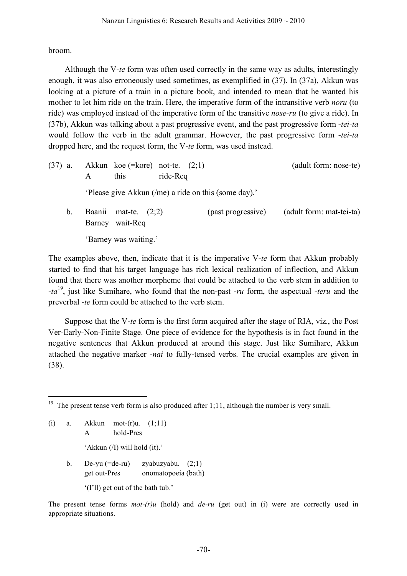broom.

Although the V-*te* form was often used correctly in the same way as adults, interestingly enough, it was also erroneously used sometimes, as exemplified in (37). In (37a), Akkun was looking at a picture of a train in a picture book, and intended to mean that he wanted his mother to let him ride on the train. Here, the imperative form of the intransitive verb *noru* (to ride) was employed instead of the imperative form of the transitive *nose-ru* (to give a ride). In (37b), Akkun was talking about a past progressive event, and the past progressive form -*tei-ta* would follow the verb in the adult grammar. However, the past progressive form -*tei-ta* dropped here, and the request form, the V-*te* form, was used instead.

(37) a. Akkun koe (=kore) not-te.  $(2,1)$  (adult form: nose-te) A this ride-Req 'Please give Akkun (/me) a ride on this (some day).' b. Baanii mat-te. (2,2) (past progressive) (adult form: mat-tei-ta) Barney wait-Req

'Barney was waiting.'

The examples above, then, indicate that it is the imperative V-*te* form that Akkun probably started to find that his target language has rich lexical realization of inflection, and Akkun found that there was another morpheme that could be attached to the verb stem in addition to -*ta* 19 , just like Sumihare, who found that the non-past -*ru* form, the aspectual -*teru* and the preverbal -*te* form could be attached to the verb stem.

Suppose that the V-*te* form is the first form acquired after the stage of RIA, viz., the Post Ver-Early-Non-Finite Stage. One piece of evidence for the hypothesis is in fact found in the negative sentences that Akkun produced at around this stage. Just like Sumihare, Akkun attached the negative marker -*nai* to fully-tensed verbs. The crucial examples are given in (38).

(i) a. Akkun mot-(r)u. (1;11) A hold-Pres 'Akkun (/I) will hold (it).' b. De-yu (=de-ru) zyabuzyabu. (2;1) get out-Pres onomatopoeia (bath) '(I'll) get out of the bath tub.'

The present tense forms *mot-(r)u* (hold) and *de-ru* (get out) in (i) were are correctly used in appropriate situations.

<sup>&</sup>lt;sup>19</sup> The present tense verb form is also produced after 1;11, although the number is very small.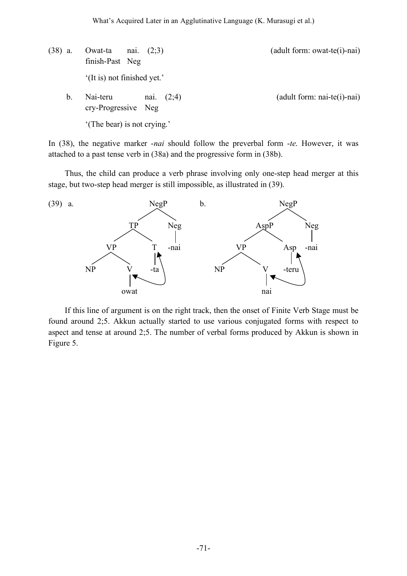(38) a. Owat-ta nai.  $(2,3)$  (adult form: owat-te(i)-nai) finish-Past Neg '(It is) not finished yet.' b. Nai-teru nai. (2;4) (adult form: nai-te(i)-nai) cry-Progressive Neg '(The bear) is not crying.'

In (38), the negative marker -*nai* should follow the preverbal form -*te*. However, it was attached to a past tense verb in (38a) and the progressive form in (38b).

Thus, the child can produce a verb phrase involving only one-step head merger at this stage, but two-step head merger is still impossible, as illustrated in (39).



If this line of argument is on the right track, then the onset of Finite Verb Stage must be found around 2;5. Akkun actually started to use various conjugated forms with respect to aspect and tense at around 2;5. The number of verbal forms produced by Akkun is shown in Figure 5.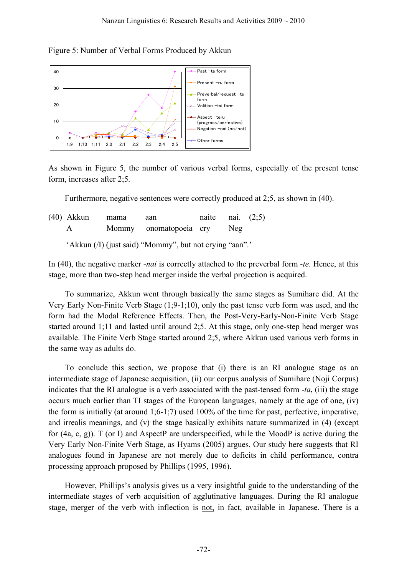



As shown in Figure 5, the number of various verbal forms, especially of the present tense form, increases after 2;5.

Furthermore, negative sentences were correctly produced at 2;5, as shown in (40).

| $(40)$ Akkun | mama | aan                                                     | naite nai. $(2,5)$ |     |  |
|--------------|------|---------------------------------------------------------|--------------------|-----|--|
| A            |      | Mommy onomatopoeia cry                                  |                    | Neg |  |
|              |      | 'Akkun (/I) (just said) "Mommy", but not crying "aan".' |                    |     |  |

In (40), the negative marker *-nai* is correctly attached to the preverbal form -*te*. Hence, at this stage, more than two-step head merger inside the verbal projection is acquired.

To summarize, Akkun went through basically the same stages as Sumihare did. At the Very Early Non-Finite Verb Stage (1;9-1;10), only the past tense verb form was used, and the form had the Modal Reference Effects. Then, the Post-Very-Early-Non-Finite Verb Stage started around 1;11 and lasted until around 2;5. At this stage, only one-step head merger was available. The Finite Verb Stage started around 2;5, where Akkun used various verb forms in the same way as adults do.

To conclude this section, we propose that (i) there is an RI analogue stage as an intermediate stage of Japanese acquisition, (ii) our corpus analysis of Sumihare (Noji Corpus) indicates that the RI analogue is a verb associated with the past-tensed form -*ta*, (iii) the stage occurs much earlier than TI stages of the European languages, namely at the age of one, (iv) the form is initially (at around 1;6-1;7) used 100% of the time for past, perfective, imperative, and irrealis meanings, and (v) the stage basically exhibits nature summarized in (4) (except for  $(4a, c, g)$ ). T (or I) and AspectP are underspecified, while the MoodP is active during the Very Early Non-Finite Verb Stage, as Hyams (2005) argues. Our study here suggests that RI analogues found in Japanese are not merely due to deficits in child performance, contra processing approach proposed by Phillips (1995, 1996).

However, Phillips's analysis gives us a very insightful guide to the understanding of the intermediate stages of verb acquisition of agglutinative languages. During the RI analogue stage, merger of the verb with inflection is not, in fact, available in Japanese. There is a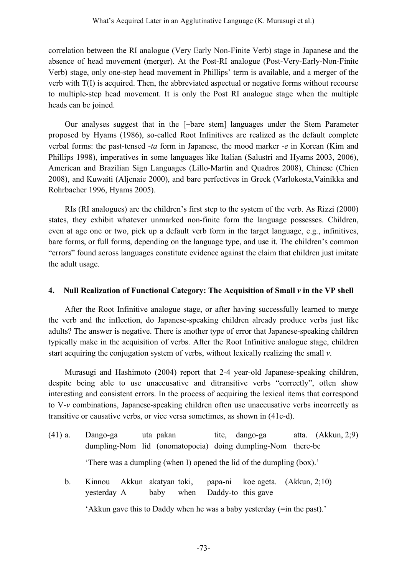correlation between the RI analogue (Very Early Non-Finite Verb) stage in Japanese and the absence of head movement (merger). At the Post-RI analogue (Post-Very-Early-Non-Finite Verb) stage, only one-step head movement in Phillips' term is available, and a merger of the verb with T(I) is acquired. Then, the abbreviated aspectual or negative forms without recourse to multiple-step head movement. It is only the Post RI analogue stage when the multiple heads can be joined.

Our analyses suggest that in the [−bare stem] languages under the Stem Parameter proposed by Hyams (1986), so-called Root Infinitives are realized as the default complete verbal forms: the past-tensed -*ta* form in Japanese, the mood marker -*e* in Korean (Kim and Phillips 1998), imperatives in some languages like Italian (Salustri and Hyams 2003, 2006), American and Brazilian Sign Languages (Lillo-Martin and Quadros 2008), Chinese (Chien 2008), and Kuwaiti (Aljenaie 2000), and bare perfectives in Greek (Varlokosta,Vainikka and Rohrbacher 1996, Hyams 2005).

RIs (RI analogues) are the children's first step to the system of the verb. As Rizzi (2000) states, they exhibit whatever unmarked non-finite form the language possesses. Children, even at age one or two, pick up a default verb form in the target language, e.g., infinitives, bare forms, or full forms, depending on the language type, and use it. The children's common "errors" found across languages constitute evidence against the claim that children just imitate the adult usage.

# **4. Null Realization of Functional Category: The Acquisition of Small** *v* **in the VP shell**

After the Root Infinitive analogue stage, or after having successfully learned to merge the verb and the inflection, do Japanese-speaking children already produce verbs just like adults? The answer is negative. There is another type of error that Japanese-speaking children typically make in the acquisition of verbs. After the Root Infinitive analogue stage, children start acquiring the conjugation system of verbs, without lexically realizing the small *v*.

Murasugi and Hashimoto (2004) report that 2-4 year-old Japanese-speaking children, despite being able to use unaccusative and ditransitive verbs "correctly", often show interesting and consistent errors. In the process of acquiring the lexical items that correspond to V-*v* combinations, Japanese-speaking children often use unaccusative verbs incorrectly as transitive or causative verbs, or vice versa sometimes, as shown in (41c-d).

- (41) a. Dango-ga uta pakan tite, dango-ga atta. (Akkun, 2;9) dumpling-Nom lid (onomatopoeia) doing dumpling-Nom there-be 'There was a dumpling (when I) opened the lid of the dumpling (box).'
	- b. Kinnou Akkun akatyan toki, papa-ni koe ageta. (Akkun, 2;10) yesterday A baby when Daddy-to this gave

'Akkun gave this to Daddy when he was a baby yesterday (=in the past).'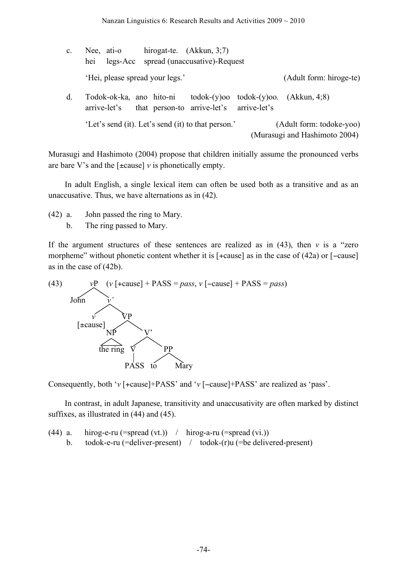| $\mathbf{c}$ . | Nee, ati-o<br>hei                                  | hirogat-te. $(Akkun, 3,7)$<br>legs-Acc spread (unaccusative)-Request |  |                                                                         |
|----------------|----------------------------------------------------|----------------------------------------------------------------------|--|-------------------------------------------------------------------------|
|                | 'Hei, please spread your legs.'                    |                                                                      |  | (Adult form: hiroge-te)                                                 |
| d.             | Todok-ok-ka, ano hito-ni<br>arrive-let's           | that person-to arrive-let's arrive-let's                             |  | $\text{todok-(y)oo} \quad \text{todok-(y)oo} \quad (\text{Akkun}, 4;8)$ |
|                | 'Let's send (it). Let's send (it) to that person.' |                                                                      |  | (Adult form: todoke-yoo)<br>(Murasugi and Hashimoto 2004)               |

Murasugi and Hashimoto (2004) propose that children initially assume the pronounced verbs are bare V's and the  $[\pm \text{cause}]$  v is phonetically empty.

In adult English, a single lexical item can often be used both as a transitive and as an unaccusative. Thus, we have alternations as in (42).

- (42) a. John passed the ring to Mary.
	- b. The ring passed to Mary.

If the argument structures of these sentences are realized as in  $(43)$ , then *v* is a "zero" morpheme" without phonetic content whether it is [+cause] as in the case of (42a) or [−cause] as in the case of (42b).



Consequently, both '*v* [+cause]+PASS' and '*v* [−cause]+PASS' are realized as 'pass'.

In contrast, in adult Japanese, transitivity and unaccusativity are often marked by distinct suffixes, as illustrated in (44) and (45).

(44) a. hirog-e-ru (=spread (vt.)) / hirog-a-ru (=spread (vi.)) b. todok-e-ru (=deliver-present) / todok-(r)u (=be delivered-present)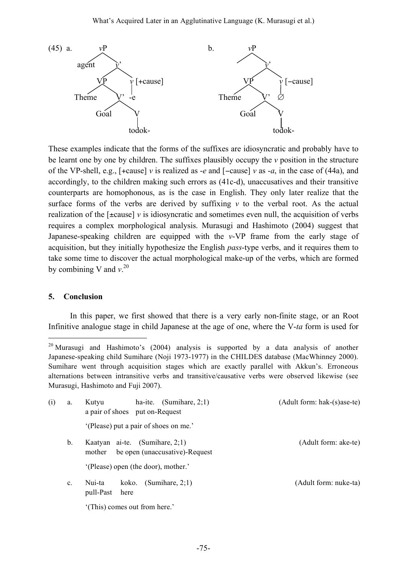

These examples indicate that the forms of the suffixes are idiosyncratic and probably have to be learnt one by one by children. The suffixes plausibly occupy the *v* position in the structure of the VP-shell, e.g., [+cause] *v* is realized as -*e* and [−cause] *v* as -*a*, in the case of (44a), and accordingly, to the children making such errors as (41c-d), unaccusatives and their transitive counterparts are homophonous, as is the case in English. They only later realize that the surface forms of the verbs are derived by suffixing *v* to the verbal root. As the actual realization of the  $[\pm \text{cause}]$  *v* is idiosyncratic and sometimes even null, the acquisition of verbs requires a complex morphological analysis. Murasugi and Hashimoto (2004) suggest that Japanese-speaking children are equipped with the *v*-VP frame from the early stage of acquisition, but they initially hypothesize the English *pass*-type verbs, and it requires them to take some time to discover the actual morphological make-up of the verbs, which are formed by combining V and *v*. 20

#### **5. Conclusion**

In this paper, we first showed that there is a very early non-finite stage, or an Root Infinitive analogue stage in child Japanese at the age of one, where the V-*ta* form is used for

<sup>&</sup>lt;sup>20</sup> Murasugi and Hashimoto's (2004) analysis is supported by a data analysis of another Japanese-speaking child Sumihare (Noji 1973-1977) in the CHILDES database (MacWhinney 2000). Sumihare went through acquisition stages which are exactly parallel with Akkun's. Erroneous alternations between intransitive verbs and transitive/causative verbs were observed likewise (see Murasugi, Hashimoto and Fuji 2007).

| (i) | a.             | ha-ite. (Sumihare, $2;1$ )<br>Kutyu<br>a pair of shoes put on-Request       | (Adult form: hak-(s)ase-te) |
|-----|----------------|-----------------------------------------------------------------------------|-----------------------------|
|     |                | '(Please) put a pair of shoes on me.'                                       |                             |
|     | b.             | Kaatyan ai-te. $(Sumhare, 2;1)$<br>be open (unaccusative)-Request<br>mother | (Adult form: ake-te)        |
|     |                | '(Please) open (the door), mother.'                                         |                             |
|     | C <sub>1</sub> | (Sumihare, $2;1$ )<br>Nui-ta<br>koko.<br>pull-Past<br>here                  | (Adult form: nuke-ta)       |
|     |                | '(This) comes out from here.'                                               |                             |
|     |                |                                                                             |                             |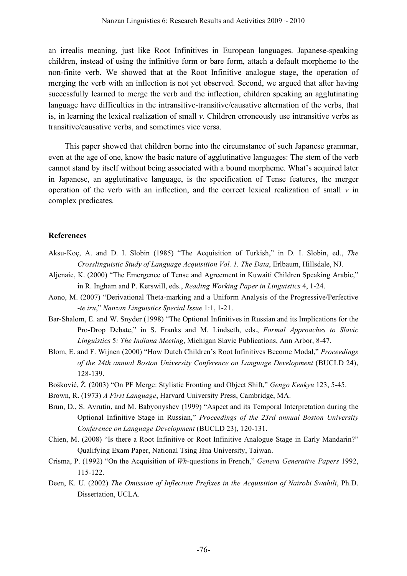an irrealis meaning, just like Root Infinitives in European languages. Japanese-speaking children, instead of using the infinitive form or bare form, attach a default morpheme to the non-finite verb. We showed that at the Root Infinitive analogue stage, the operation of merging the verb with an inflection is not yet observed. Second, we argued that after having successfully learned to merge the verb and the inflection, children speaking an agglutinating language have difficulties in the intransitive-transitive/causative alternation of the verbs, that is, in learning the lexical realization of small *v*. Children erroneously use intransitive verbs as transitive/causative verbs, and sometimes vice versa.

This paper showed that children borne into the circumstance of such Japanese grammar, even at the age of one, know the basic nature of agglutinative languages: The stem of the verb cannot stand by itself without being associated with a bound morpheme. What's acquired later in Japanese, an agglutinative language, is the specification of Tense features, the merger operation of the verb with an inflection, and the correct lexical realization of small  $\nu$  in complex predicates.

# **References**

- Aksu-Koç, A. and D. I. Slobin (1985) "The Acquisition of Turkish," in D. I. Slobin, ed., *The Crosslinguistic Study of Language Acquisition Vol. 1. The Data*, Erlbaum, Hillsdale, NJ.
- Aljenaie, K. (2000) "The Emergence of Tense and Agreement in Kuwaiti Children Speaking Arabic," in R. Ingham and P. Kerswill, eds., *Reading Working Paper in Linguistics* 4, 1-24.
- Aono, M. (2007) "Derivational Theta-marking and a Uniform Analysis of the Progressive/Perfective -*te iru*," *Nanzan Linguistics Special Issue* 1:1, 1-21.
- Bar-Shalom, E. and W. Snyder (1998) "The Optional Infinitives in Russian and its Implications for the Pro-Drop Debate," in S. Franks and M. Lindseth, eds., *Formal Approaches to Slavic Linguistics* 5*: The Indiana Meeting*, Michigan Slavic Publications, Ann Arbor, 8-47.
- Blom, E. and F. Wijnen (2000) "How Dutch Children's Root Infinitives Become Modal," *Proceedings of the 24th annual Boston University Conference on Language Development* (BUCLD 24), 128-139.
- Bošković, Ž. (2003) "On PF Merge: Stylistic Fronting and Object Shift," *Gengo Kenkyu* 123, 5-45.
- Brown, R. (1973) *A First Language*, Harvard University Press, Cambridge, MA.
- Brun, D., S. Avrutin, and M. Babyonyshev (1999) "Aspect and its Temporal Interpretation during the Optional Infinitive Stage in Russian," *Proceedings of the 23rd annual Boston University Conference on Language Development* (BUCLD 23), 120-131.
- Chien, M. (2008) "Is there a Root Infinitive or Root Infinitive Analogue Stage in Early Mandarin?" Qualifying Exam Paper, National Tsing Hua University, Taiwan.
- Crisma, P. (1992) "On the Acquisition of *Wh*-questions in French," *Geneva Generative Papers* 1992, 115-122.
- Deen, K. U. (2002) *The Omission of Inflection Prefixes in the Acquisition of Nairobi Swahili*, Ph.D. Dissertation, UCLA.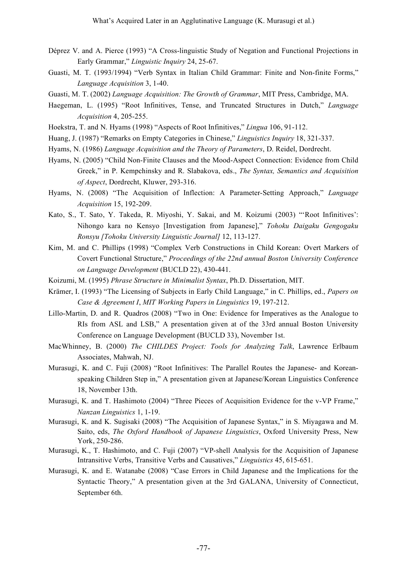- Déprez V. and A. Pierce (1993) "A Cross-linguistic Study of Negation and Functional Projections in Early Grammar," *Linguistic Inquiry* 24, 25-67.
- Guasti, M. T. (1993/1994) "Verb Syntax in Italian Child Grammar: Finite and Non-finite Forms," *Language Acquisition* 3, 1-40.
- Guasti, M. T. (2002) *Language Acquisition: The Growth of Grammar*, MIT Press, Cambridge, MA.
- Haegeman, L. (1995) "Root Infinitives, Tense, and Truncated Structures in Dutch," *Language Acquisition* 4, 205-255.
- Hoekstra, T. and N. Hyams (1998) "Aspects of Root Infinitives," *Lingua* 106, 91-112.
- Huang, J. (1987) "Remarks on Empty Categories in Chinese," *Linguistics Inquiry* 18, 321-337.
- Hyams, N. (1986) *Language Acquisition and the Theory of Parameters*, D. Reidel, Dordrecht.
- Hyams, N. (2005) "Child Non-Finite Clauses and the Mood-Aspect Connection: Evidence from Child Greek," in P. Kempchinsky and R. Slabakova, eds., *The Syntax, Semantics and Acquisition of Aspect*, Dordrecht, Kluwer, 293-316.
- Hyams, N. (2008) "The Acquisition of Inflection: A Parameter-Setting Approach," *Language Acquisition* 15, 192-209.
- Kato, S., T. Sato, Y. Takeda, R. Miyoshi, Y. Sakai, and M. Koizumi (2003) "'Root Infinitives': Nihongo kara no Kensyo [Investigation from Japanese]," *Tohoku Daigaku Gengogaku Ronsyu [Tohoku University Linguistic Journal]* 12, 113-127.
- Kim, M. and C. Phillips (1998) "Complex Verb Constructions in Child Korean: Overt Markers of Covert Functional Structure," *Proceedings of the 22nd annual Boston University Conference on Language Development* (BUCLD 22), 430-441.
- Koizumi, M. (1995) *Phrase Structure in Minimalist Syntax*, Ph.D. Dissertation, MIT.
- Krämer, I. (1993) "The Licensing of Subjects in Early Child Language," in C. Phillips, ed., *Papers on Case & Agreement I*, *MIT Working Papers in Linguistics* 19, 197-212.
- Lillo-Martin, D. and R. Quadros (2008) "Two in One: Evidence for Imperatives as the Analogue to RIs from ASL and LSB," A presentation given at of the 33rd annual Boston University Conference on Language Development (BUCLD 33), November 1st.
- MacWhinney, B. (2000) *The CHILDES Project: Tools for Analyzing Talk*, Lawrence Erlbaum Associates, Mahwah, NJ.
- Murasugi, K. and C. Fuji (2008) "Root Infinitives: The Parallel Routes the Japanese- and Koreanspeaking Children Step in," A presentation given at Japanese/Korean Linguistics Conference 18, November 13th.
- Murasugi, K. and T. Hashimoto (2004) "Three Pieces of Acquisition Evidence for the v-VP Frame," *Nanzan Linguistics* 1, 1-19.
- Murasugi, K. and K. Sugisaki (2008) "The Acquisition of Japanese Syntax," in S. Miyagawa and M. Saito, eds, *The Oxford Handbook of Japanese Linguistics*, Oxford University Press, New York, 250-286.
- Murasugi, K., T. Hashimoto, and C. Fuji (2007) "VP-shell Analysis for the Acquisition of Japanese Intransitive Verbs, Transitive Verbs and Causatives," *Linguistics* 45, 615-651.
- Murasugi, K. and E. Watanabe (2008) "Case Errors in Child Japanese and the Implications for the Syntactic Theory," A presentation given at the 3rd GALANA, University of Connecticut, September 6th.